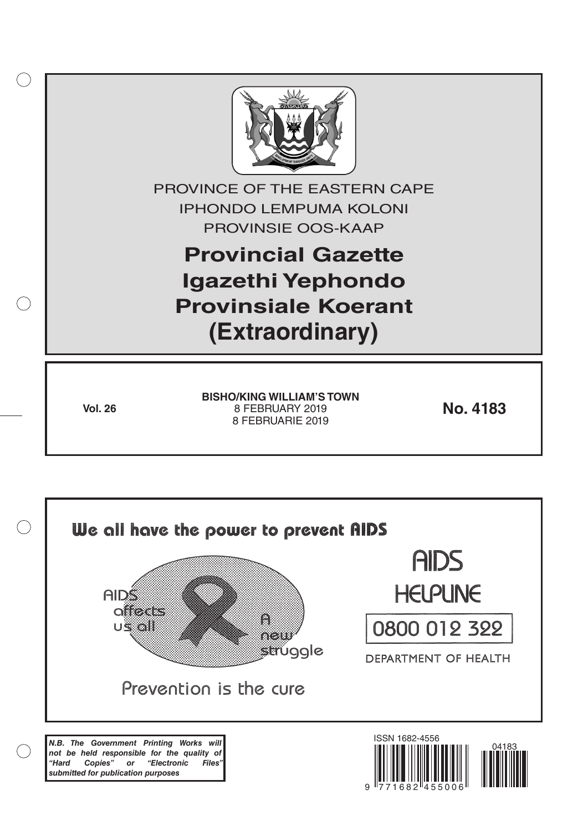

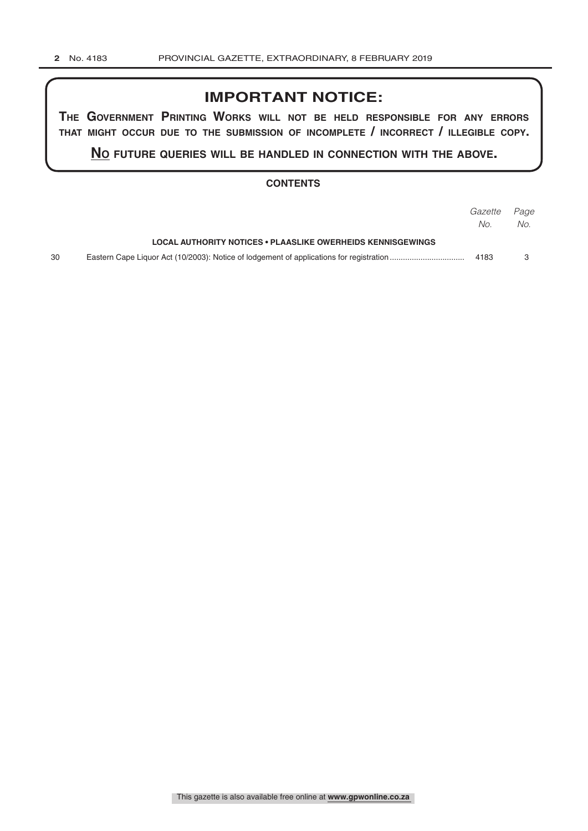## **IMPORTANT NOTICE:**

**The GovernmenT PrinTinG Works Will noT be held resPonsible for any errors ThaT miGhT occur due To The submission of incomPleTe / incorrecT / illeGible coPy.**

**no fuTure queries Will be handled in connecTion WiTh The above.**

## **CONTENTS**

|    |                                                             | Gazette Page |     |
|----|-------------------------------------------------------------|--------------|-----|
|    |                                                             | No.          | No. |
|    | LOCAL AUTHORITY NOTICES . PLAASLIKE OWERHEIDS KENNISGEWINGS |              |     |
| 30 |                                                             | 4183         |     |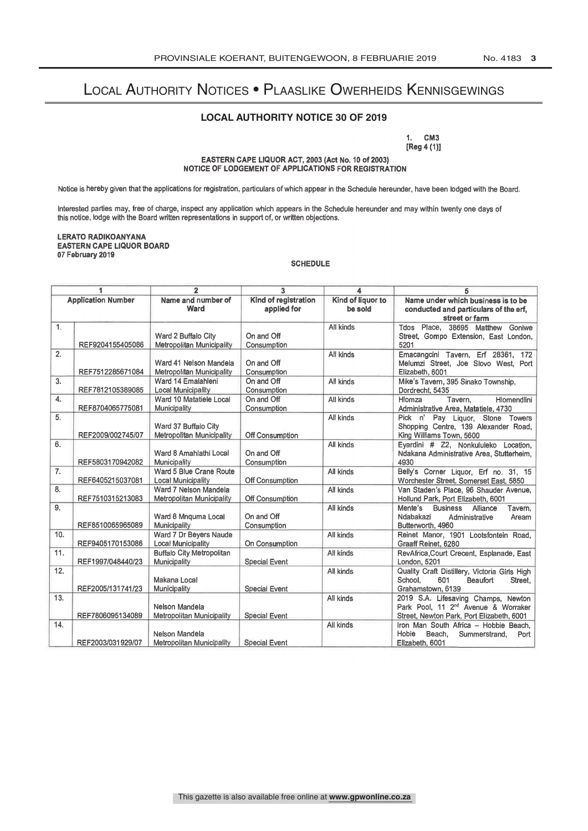# Local Authority Notices • Plaaslike Owerheids Kennisgewings

## **LOCAL AUTHORITY NOTICE 30 OF 2019**

1. CM3 [Reg 4 (1)]

EASTERN CAPE LIQUOR ACT, 2003 (Act No. 10 of 2003) NOTICE OF LODGEMENT OF APPLICATIONS FOR REGISTRATION

Notice is hereby given that the applications for registration, particulars of which appear in the Schedule hereunder, have been lodged with the Board.

Interested parties may, free of charge, inspect any application which appears in the Schedule hereunder and may within twenty one days of this notice, lodge with the Board written representations in support of, or written objections.

#### LERATO RADIKOANYANA EASTERN CAPE LIQUOR BOARD 07 February 2019

#### SCHEDULE

| 1                         |                   | $\overline{2}$                                            | $\overline{3}$                      | 4                            | 5                                                                                                                                   |
|---------------------------|-------------------|-----------------------------------------------------------|-------------------------------------|------------------------------|-------------------------------------------------------------------------------------------------------------------------------------|
| <b>Application Number</b> |                   | Name and number of<br>Ward                                | Kind of registration<br>applied for | Kind of liquor to<br>be sold | Name under which business is to be<br>conducted and particulars of the erf.<br>street or farm                                       |
| 1.                        | REF9204155405086  | Ward 2 Buffalo City<br>Metropolitan Municipality          | On and Off<br>Consumption           | All kinds                    | Tdos Place, 38695 Matthew Goniwe<br>Street, Gompo Extension, East London,<br>5201                                                   |
| 2.                        | REF7512285671084  | Ward 41 Nelson Mandela<br>Metropolitan Municipality       | On and Off<br>Consumption           | All kinds                    | Emacangcini Tavern, Erf 28361, 172<br>Melumzi Street, Joe Slovo West, Port<br>Elizabeth, 6001                                       |
| 3.                        | REF7812105389085  | Ward 14 Emalahleni<br><b>Local Municipality</b>           | On and Off<br>Consumption           | All kinds                    | Mike's Tavern, 395 Sinako Township,<br>Dordrecht, 5435                                                                              |
| 4.                        | REF8704065775081  | Ward 10 Matatiele Local<br>Municipality                   | On and Off<br>Consumption           | All kinds                    | Hlomza<br>Tavern.<br><b>Hlomendlini</b><br>Administrative Area, Matatiele, 4730                                                     |
| 5.                        | REF2009/002745/07 | Ward 37 Buffalo City<br>Metropolitan Municipality         | Off Consumption                     | All kinds                    | Pick n' Pay Liguor, Stone Towers<br>Shopping Centre, 139 Alexander Road,<br>King Williams Town, 5600                                |
| 6.                        | REF5803170942082  | Ward 8 Amahlathi Local<br>Municipality                    | On and Off<br>Consumption           | All kinds                    | Eyardini # Z2, Nonkululeko Location,<br>Ndakana Administrative Area, Stutterheim,<br>4930                                           |
| 7.                        | REF6405215037081  | Ward 5 Blue Crane Route<br><b>Local Municipality</b>      | Off Consumption                     | All kinds                    | Belly's Corner Liquor, Erf no. 31, 15<br>Worchester Street, Somerset East, 5850                                                     |
| 8.                        | REF7510315213083  | Ward 7 Nelson Mandela<br><b>Metropolitan Municipality</b> | Off Consumption                     | All kinds                    | Van Staden's Place, 96 Shauder Avenue,<br>Hollund Park, Port Elizabeth, 6001                                                        |
| 9.                        | REF8510065965089  | Ward 8 Mnguma Local<br>Municipality                       | On and Off<br>Consumption           | All kinds                    | Mente's<br><b>Business</b><br>Alliance<br>Tavern,<br>Ndabakazi<br>Administrative<br>Aream<br>Butterworth, 4960                      |
| 10.                       | REF9405170153086  | Ward 7 Dr Beyers Naude<br>Local Municipality              | On Consumption                      | All kinds                    | Reinet Manor, 1901 Lootsfontein Road,<br>Graaff Reinet, 6280                                                                        |
| 11.                       | REF1997/048440/23 | <b>Buffalo City Metropolitan</b><br>Municipality          | Special Event                       | All kinds                    | RevAfrica, Court Crecent, Esplanade, East<br>London, 5201                                                                           |
| 12.                       | REF2005/131741/23 | Makana Local<br>Municipality                              | Special Event                       | All kinds                    | Quality Craft Distillery, Victoria Girls High<br>School.<br>601<br>Beaufort<br>Street,<br>Grahamstown, 6139                         |
| 13.                       | REF7806095134089  | Nelson Mandela<br><b>Metropolitan Municipality</b>        | Special Event                       | All kinds                    | 2019 S.A. Lifesaving Champs, Newton<br>Park Pool, 11 2 <sup>nd</sup> Avenue & Worraker<br>Street, Newton Park, Port Elizabeth, 6001 |
| 14.                       | REF2003/031929/07 | Nelson Mandela<br><b>Metropolitan Municipality</b>        | <b>Special Event</b>                | All kinds                    | Iron Man South Africa - Hobbie Beach.<br>Hobie<br>Beach,<br>Summerstrand,<br>Port<br>Elizabeth, 6001                                |